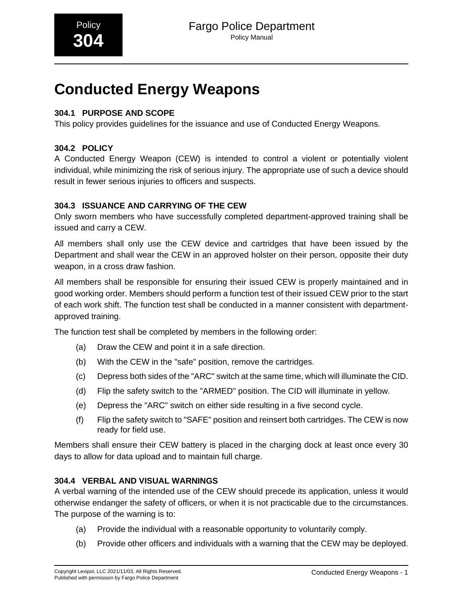# **Conducted Energy Weapons**

# **304.1 PURPOSE AND SCOPE**

This policy provides guidelines for the issuance and use of Conducted Energy Weapons.

# **304.2 POLICY**

A Conducted Energy Weapon (CEW) is intended to control a violent or potentially violent individual, while minimizing the risk of serious injury. The appropriate use of such a device should result in fewer serious injuries to officers and suspects.

### **304.3 ISSUANCE AND CARRYING OF THE CEW**

Only sworn members who have successfully completed department-approved training shall be issued and carry a CEW.

All members shall only use the CEW device and cartridges that have been issued by the Department and shall wear the CEW in an approved holster on their person, opposite their duty weapon, in a cross draw fashion.

All members shall be responsible for ensuring their issued CEW is properly maintained and in good working order. Members should perform a function test of their issued CEW prior to the start of each work shift. The function test shall be conducted in a manner consistent with departmentapproved training.

The function test shall be completed by members in the following order:

- (a) Draw the CEW and point it in a safe direction.
- (b) With the CEW in the "safe" position, remove the cartridges.
- (c) Depress both sides of the "ARC" switch at the same time, which will illuminate the CID.
- (d) Flip the safety switch to the "ARMED" position. The CID will illuminate in yellow.
- (e) Depress the "ARC" switch on either side resulting in a five second cycle.
- (f) Flip the safety switch to "SAFE" position and reinsert both cartridges. The CEW is now ready for field use.

Members shall ensure their CEW battery is placed in the charging dock at least once every 30 days to allow for data upload and to maintain full charge.

## **304.4 VERBAL AND VISUAL WARNINGS**

A verbal warning of the intended use of the CEW should precede its application, unless it would otherwise endanger the safety of officers, or when it is not practicable due to the circumstances. The purpose of the warning is to:

- (a) Provide the individual with a reasonable opportunity to voluntarily comply.
- (b) Provide other officers and individuals with a warning that the CEW may be deployed.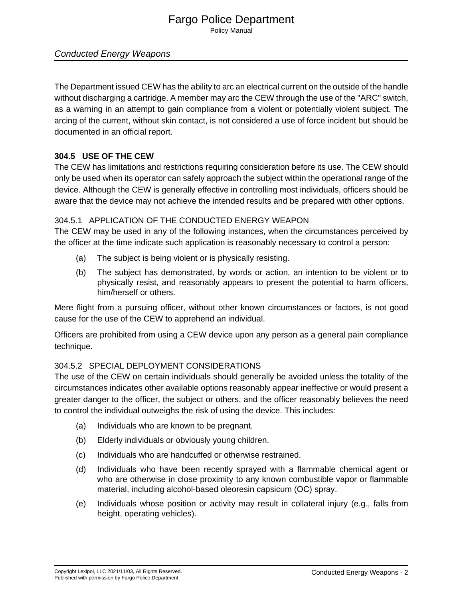# Fargo Police Department

Policy Manual

# Conducted Energy Weapons

The Department issued CEW has the ability to arc an electrical current on the outside of the handle without discharging a cartridge. A member may arc the CEW through the use of the "ARC" switch, as a warning in an attempt to gain compliance from a violent or potentially violent subject. The arcing of the current, without skin contact, is not considered a use of force incident but should be documented in an official report.

## **304.5 USE OF THE CEW**

The CEW has limitations and restrictions requiring consideration before its use. The CEW should only be used when its operator can safely approach the subject within the operational range of the device. Although the CEW is generally effective in controlling most individuals, officers should be aware that the device may not achieve the intended results and be prepared with other options.

## 304.5.1 APPLICATION OF THE CONDUCTED ENERGY WEAPON

The CEW may be used in any of the following instances, when the circumstances perceived by the officer at the time indicate such application is reasonably necessary to control a person:

- (a) The subject is being violent or is physically resisting.
- (b) The subject has demonstrated, by words or action, an intention to be violent or to physically resist, and reasonably appears to present the potential to harm officers, him/herself or others.

Mere flight from a pursuing officer, without other known circumstances or factors, is not good cause for the use of the CEW to apprehend an individual.

Officers are prohibited from using a CEW device upon any person as a general pain compliance technique.

## 304.5.2 SPECIAL DEPLOYMENT CONSIDERATIONS

The use of the CEW on certain individuals should generally be avoided unless the totality of the circumstances indicates other available options reasonably appear ineffective or would present a greater danger to the officer, the subject or others, and the officer reasonably believes the need to control the individual outweighs the risk of using the device. This includes:

- (a) Individuals who are known to be pregnant.
- (b) Elderly individuals or obviously young children.
- (c) Individuals who are handcuffed or otherwise restrained.
- (d) Individuals who have been recently sprayed with a flammable chemical agent or who are otherwise in close proximity to any known combustible vapor or flammable material, including alcohol-based oleoresin capsicum (OC) spray.
- (e) Individuals whose position or activity may result in collateral injury (e.g., falls from height, operating vehicles).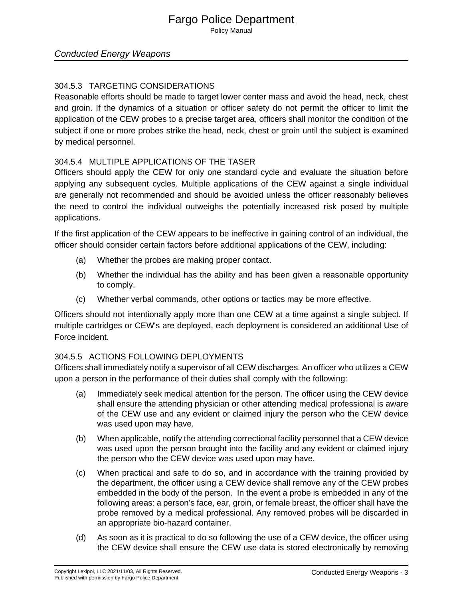## Fargo Police Department Policy Manual

Conducted Energy Weapons

## 304.5.3 TARGETING CONSIDERATIONS

Reasonable efforts should be made to target lower center mass and avoid the head, neck, chest and groin. If the dynamics of a situation or officer safety do not permit the officer to limit the application of the CEW probes to a precise target area, officers shall monitor the condition of the subject if one or more probes strike the head, neck, chest or groin until the subject is examined by medical personnel.

### 304.5.4 MULTIPLE APPLICATIONS OF THE TASER

Officers should apply the CEW for only one standard cycle and evaluate the situation before applying any subsequent cycles. Multiple applications of the CEW against a single individual are generally not recommended and should be avoided unless the officer reasonably believes the need to control the individual outweighs the potentially increased risk posed by multiple applications.

If the first application of the CEW appears to be ineffective in gaining control of an individual, the officer should consider certain factors before additional applications of the CEW, including:

- (a) Whether the probes are making proper contact.
- (b) Whether the individual has the ability and has been given a reasonable opportunity to comply.
- (c) Whether verbal commands, other options or tactics may be more effective.

Officers should not intentionally apply more than one CEW at a time against a single subject. If multiple cartridges or CEW's are deployed, each deployment is considered an additional Use of Force incident.

#### 304.5.5 ACTIONS FOLLOWING DEPLOYMENTS

Officers shall immediately notify a supervisor of all CEW discharges. An officer who utilizes a CEW upon a person in the performance of their duties shall comply with the following:

- (a) Immediately seek medical attention for the person. The officer using the CEW device shall ensure the attending physician or other attending medical professional is aware of the CEW use and any evident or claimed injury the person who the CEW device was used upon may have.
- (b) When applicable, notify the attending correctional facility personnel that a CEW device was used upon the person brought into the facility and any evident or claimed injury the person who the CEW device was used upon may have.
- (c) When practical and safe to do so, and in accordance with the training provided by the department, the officer using a CEW device shall remove any of the CEW probes embedded in the body of the person. In the event a probe is embedded in any of the following areas: a person's face, ear, groin, or female breast, the officer shall have the probe removed by a medical professional. Any removed probes will be discarded in an appropriate bio-hazard container.
- (d) As soon as it is practical to do so following the use of a CEW device, the officer using the CEW device shall ensure the CEW use data is stored electronically by removing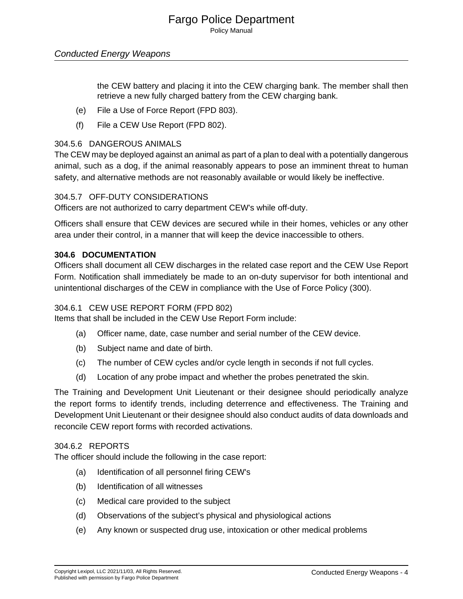## Fargo Police Department Policy Manual

## Conducted Energy Weapons

the CEW battery and placing it into the CEW charging bank. The member shall then retrieve a new fully charged battery from the CEW charging bank.

- (e) File a Use of Force Report (FPD 803).
- (f) File a CEW Use Report (FPD 802).

#### 304.5.6 DANGEROUS ANIMALS

The CEW may be deployed against an animal as part of a plan to deal with a potentially dangerous animal, such as a dog, if the animal reasonably appears to pose an imminent threat to human safety, and alternative methods are not reasonably available or would likely be ineffective.

#### 304.5.7 OFF-DUTY CONSIDERATIONS

Officers are not authorized to carry department CEW's while off-duty.

Officers shall ensure that CEW devices are secured while in their homes, vehicles or any other area under their control, in a manner that will keep the device inaccessible to others.

#### **304.6 DOCUMENTATION**

Officers shall document all CEW discharges in the related case report and the CEW Use Report Form. Notification shall immediately be made to an on-duty supervisor for both intentional and unintentional discharges of the CEW in compliance with the Use of Force Policy (300).

#### 304.6.1 CEW USE REPORT FORM (FPD 802)

Items that shall be included in the CEW Use Report Form include:

- (a) Officer name, date, case number and serial number of the CEW device.
- (b) Subject name and date of birth.
- (c) The number of CEW cycles and/or cycle length in seconds if not full cycles.
- (d) Location of any probe impact and whether the probes penetrated the skin.

The Training and Development Unit Lieutenant or their designee should periodically analyze the report forms to identify trends, including deterrence and effectiveness. The Training and Development Unit Lieutenant or their designee should also conduct audits of data downloads and reconcile CEW report forms with recorded activations.

#### 304.6.2 REPORTS

The officer should include the following in the case report:

- (a) Identification of all personnel firing CEW's
- (b) Identification of all witnesses
- (c) Medical care provided to the subject
- (d) Observations of the subject's physical and physiological actions
- (e) Any known or suspected drug use, intoxication or other medical problems